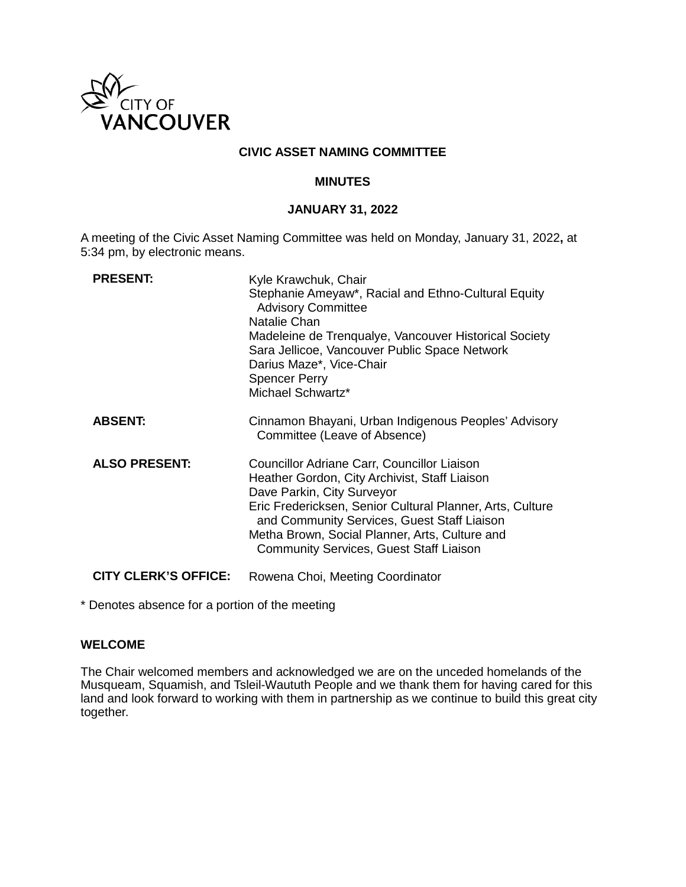

## **CIVIC ASSET NAMING COMMITTEE**

#### **MINUTES**

## **JANUARY 31, 2022**

A meeting of the Civic Asset Naming Committee was held on Monday, January 31, 2022**,** at 5:34 pm, by electronic means.

| <b>PRESENT:</b>             | Kyle Krawchuk, Chair<br>Stephanie Ameyaw*, Racial and Ethno-Cultural Equity<br><b>Advisory Committee</b><br>Natalie Chan<br>Madeleine de Trenqualye, Vancouver Historical Society<br>Sara Jellicoe, Vancouver Public Space Network<br>Darius Maze*, Vice-Chair<br><b>Spencer Perry</b><br>Michael Schwartz*                                |
|-----------------------------|--------------------------------------------------------------------------------------------------------------------------------------------------------------------------------------------------------------------------------------------------------------------------------------------------------------------------------------------|
| <b>ABSENT:</b>              | Cinnamon Bhayani, Urban Indigenous Peoples' Advisory<br>Committee (Leave of Absence)                                                                                                                                                                                                                                                       |
| <b>ALSO PRESENT:</b>        | Councillor Adriane Carr, Councillor Liaison<br>Heather Gordon, City Archivist, Staff Liaison<br>Dave Parkin, City Surveyor<br>Eric Fredericksen, Senior Cultural Planner, Arts, Culture<br>and Community Services, Guest Staff Liaison<br>Metha Brown, Social Planner, Arts, Culture and<br><b>Community Services, Guest Staff Liaison</b> |
| <b>CITY CLERK'S OFFICE:</b> | Rowena Choi, Meeting Coordinator                                                                                                                                                                                                                                                                                                           |

\* Denotes absence for a portion of the meeting

## **WELCOME**

The Chair welcomed members and acknowledged we are on the unceded homelands of the Musqueam, Squamish, and Tsleil-Waututh People and we thank them for having cared for this land and look forward to working with them in partnership as we continue to build this great city together.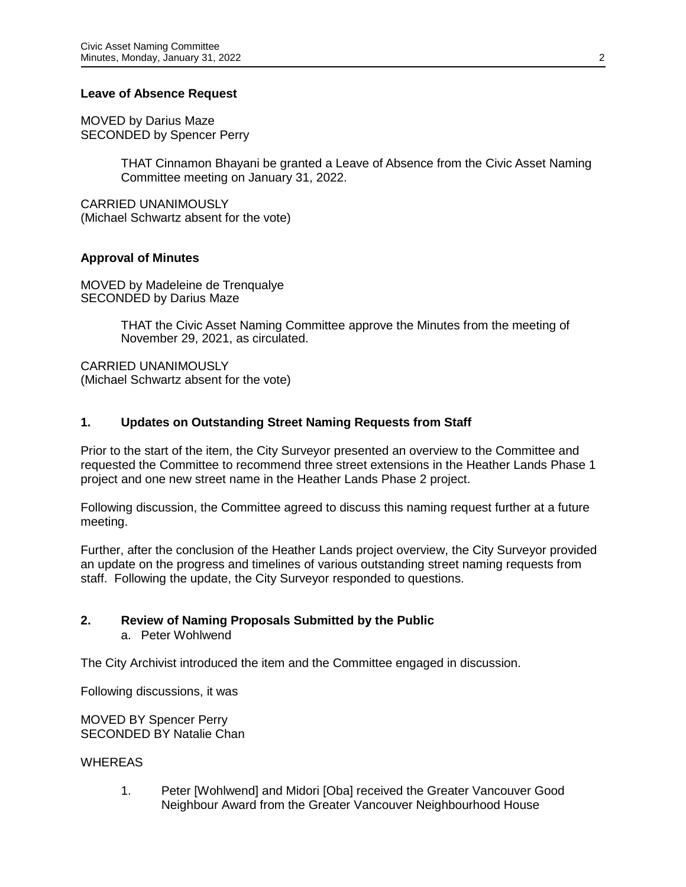## **Leave of Absence Request**

MOVED by Darius Maze SECONDED by Spencer Perry

> THAT Cinnamon Bhayani be granted a Leave of Absence from the Civic Asset Naming Committee meeting on January 31, 2022.

CARRIED UNANIMOUSLY (Michael Schwartz absent for the vote)

## **Approval of Minutes**

MOVED by Madeleine de Trenqualye SECONDED by Darius Maze

> THAT the Civic Asset Naming Committee approve the Minutes from the meeting of November 29, 2021, as circulated.

CARRIED UNANIMOUSLY (Michael Schwartz absent for the vote)

## **1. Updates on Outstanding Street Naming Requests from Staff**

Prior to the start of the item, the City Surveyor presented an overview to the Committee and requested the Committee to recommend three street extensions in the Heather Lands Phase 1 project and one new street name in the Heather Lands Phase 2 project.

Following discussion, the Committee agreed to discuss this naming request further at a future meeting.

Further, after the conclusion of the Heather Lands project overview, the City Surveyor provided an update on the progress and timelines of various outstanding street naming requests from staff. Following the update, the City Surveyor responded to questions.

#### **2. Review of Naming Proposals Submitted by the Public**

a. Peter Wohlwend

The City Archivist introduced the item and the Committee engaged in discussion.

Following discussions, it was

MOVED BY Spencer Perry SECONDED BY Natalie Chan

#### **WHEREAS**

1. Peter [Wohlwend] and Midori [Oba] received the Greater Vancouver Good Neighbour Award from the Greater Vancouver Neighbourhood House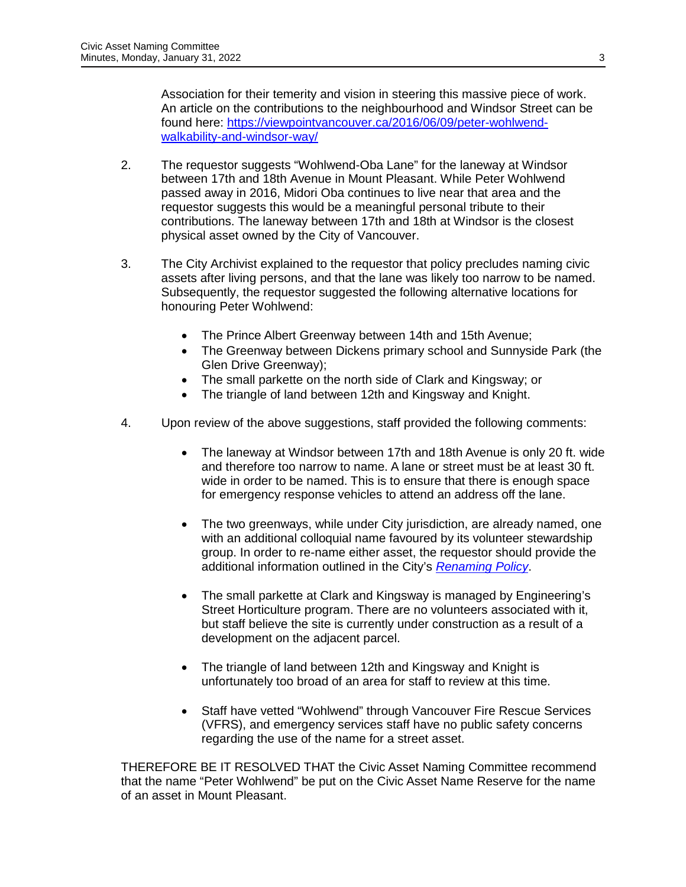Association for their temerity and vision in steering this massive piece of work. An article on the contributions to the neighbourhood and Windsor Street can be found here: [https://viewpointvancouver.ca/2016/06/09/peter-wohlwend](https://viewpointvancouver.ca/2016/06/09/peter-wohlwend-walkability-and-windsor-way/)[walkability-and-windsor-way/](https://viewpointvancouver.ca/2016/06/09/peter-wohlwend-walkability-and-windsor-way/)

- 2. The requestor suggests "Wohlwend-Oba Lane" for the laneway at Windsor between 17th and 18th Avenue in Mount Pleasant. While Peter Wohlwend passed away in 2016, Midori Oba continues to live near that area and the requestor suggests this would be a meaningful personal tribute to their contributions. The laneway between 17th and 18th at Windsor is the closest physical asset owned by the City of Vancouver.
- 3. The City Archivist explained to the requestor that policy precludes naming civic assets after living persons, and that the lane was likely too narrow to be named. Subsequently, the requestor suggested the following alternative locations for honouring Peter Wohlwend:
	- The Prince Albert Greenway between 14th and 15th Avenue;
	- The Greenway between Dickens primary school and Sunnyside Park (the Glen Drive Greenway);
	- The small parkette on the north side of Clark and Kingsway; or
	- The triangle of land between 12th and Kingsway and Knight.
- 4. Upon review of the above suggestions, staff provided the following comments:
	- The laneway at Windsor between 17th and 18th Avenue is only 20 ft. wide and therefore too narrow to name. A lane or street must be at least 30 ft. wide in order to be named. This is to ensure that there is enough space for emergency response vehicles to attend an address off the lane.
	- The two greenways, while under City jurisdiction, are already named, one with an additional colloquial name favoured by its volunteer stewardship group. In order to re-name either asset, the requestor should provide the additional information outlined in the City's *[Renaming Policy](https://vancouver.ca/your-government/criteria-for-names-on-the-name-reserve-list.aspx)*.
	- The small parkette at Clark and Kingsway is managed by Engineering's Street Horticulture program. There are no volunteers associated with it, but staff believe the site is currently under construction as a result of a development on the adjacent parcel.
	- The triangle of land between 12th and Kingsway and Knight is unfortunately too broad of an area for staff to review at this time.
	- Staff have vetted "Wohlwend" through Vancouver Fire Rescue Services (VFRS), and emergency services staff have no public safety concerns regarding the use of the name for a street asset.

THEREFORE BE IT RESOLVED THAT the Civic Asset Naming Committee recommend that the name "Peter Wohlwend" be put on the Civic Asset Name Reserve for the name of an asset in Mount Pleasant.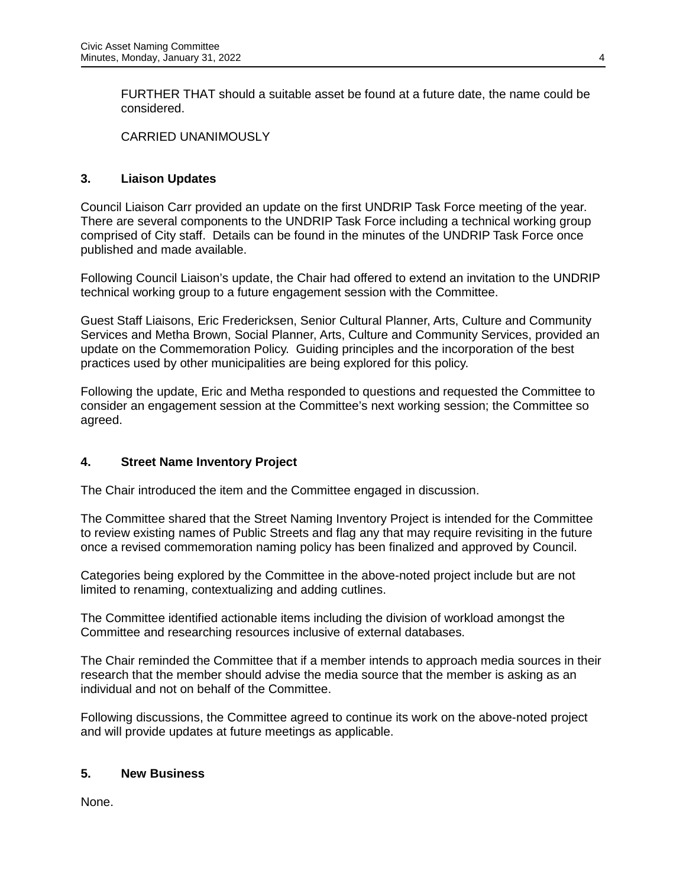FURTHER THAT should a suitable asset be found at a future date, the name could be considered.

CARRIED UNANIMOUSLY

# **3. Liaison Updates**

Council Liaison Carr provided an update on the first UNDRIP Task Force meeting of the year. There are several components to the UNDRIP Task Force including a technical working group comprised of City staff. Details can be found in the minutes of the UNDRIP Task Force once published and made available.

Following Council Liaison's update, the Chair had offered to extend an invitation to the UNDRIP technical working group to a future engagement session with the Committee.

Guest Staff Liaisons, Eric Fredericksen, Senior Cultural Planner, Arts, Culture and Community Services and Metha Brown, Social Planner, Arts, Culture and Community Services, provided an update on the Commemoration Policy. Guiding principles and the incorporation of the best practices used by other municipalities are being explored for this policy.

Following the update, Eric and Metha responded to questions and requested the Committee to consider an engagement session at the Committee's next working session; the Committee so agreed.

## **4. Street Name Inventory Project**

The Chair introduced the item and the Committee engaged in discussion.

The Committee shared that the Street Naming Inventory Project is intended for the Committee to review existing names of Public Streets and flag any that may require revisiting in the future once a revised commemoration naming policy has been finalized and approved by Council.

Categories being explored by the Committee in the above-noted project include but are not limited to renaming, contextualizing and adding cutlines.

The Committee identified actionable items including the division of workload amongst the Committee and researching resources inclusive of external databases.

The Chair reminded the Committee that if a member intends to approach media sources in their research that the member should advise the media source that the member is asking as an individual and not on behalf of the Committee.

Following discussions, the Committee agreed to continue its work on the above-noted project and will provide updates at future meetings as applicable.

## **5. New Business**

None.